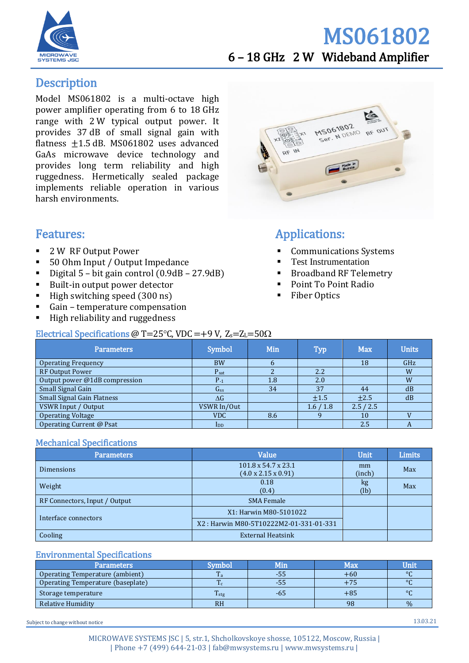

## MS061802 6 – 18 GHz 2 W Wideband Amplifier

## **Description**

Model MS061802 is a multi-octave high power amplifier operating from 6 to 18 GHz range with 2 W typical output power. It provides 37 dB of small signal gain with flatness  $+1.5$  dB. MS061802 uses advanced GaAs microwave device technology and provides long term reliability and high ruggedness. Hermetically sealed package implements reliable operation in various harsh environments.

## Features:

- 2 W RF Output Power
- 50 Ohm Input / Output Impedance
- Digital  $5$  bit gain control  $(0.9dB 27.9dB)$
- Built-in output power detector
- $\blacksquare$  High switching speed (300 ns)
- Gain temperature compensation
- High reliability and ruggedness



## Applications:

- **Communications Systems**
- **Test Instrumentation**
- **Broadband RF Telemetry**
- Point To Point Radio
- **Fiber Optics**

#### Electrical Specifications @ T=25°C, VDC = +9 V,  $Z_s = Z_L = 50\Omega$

| Parameters                        | Symbol                   | <b>Min</b> | <b>Typ</b> | <b>Max</b> | <b>Units</b> |
|-----------------------------------|--------------------------|------------|------------|------------|--------------|
| <b>Operating Frequency</b>        | <b>BW</b>                | b          |            | 18         | GHz          |
| <b>RF Output Power</b>            | $P_{\text{sat}}$         |            | 2.2        |            | W            |
| Output power @1dB compression     | $P_{-1}$                 | 1.8        | 2.0        |            | W            |
| Small Signal Gain                 | G <sub>ss</sub>          | 34         | 37         | 44         | dB           |
| <b>Small Signal Gain Flatness</b> | $\Delta G$               |            | ±1.5       | $+2.5$     | dB           |
| VSWR Input / Output               | VSWR In/Out              |            | 1.6/1.8    | 2.5 / 2.5  |              |
| <b>Operating Voltage</b>          | <b>VDC</b>               | 8.6        |            | 10         |              |
| Operating Current @ Psat          | $\mathbf{I}_{\text{DD}}$ |            |            | 2.5        | A            |

#### Mechanical Specifications

| <b>Parameters</b>             | Value                                                              | <b>Unit</b>  | <b>Limits</b> |
|-------------------------------|--------------------------------------------------------------------|--------------|---------------|
| <b>Dimensions</b>             | $101.8 \times 54.7 \times 23.1$<br>$(4.0 \times 2.15 \times 0.91)$ | mm<br>(inch) | Max           |
| Weight                        | 0.18<br>(0.4)                                                      | kg<br>(lb)   | Max           |
| RF Connectors, Input / Output | <b>SMA Female</b>                                                  |              |               |
| Interface connectors          | X1: Harwin M80-5101022                                             |              |               |
|                               | X2: Harwin M80-5T10222M2-01-331-01-331                             |              |               |
| Cooling                       | <b>External Heatsink</b>                                           |              |               |

#### Environmental Specifications

| <b>Parameters</b>                 | Symbol                         | Min | Max   | Unit    |
|-----------------------------------|--------------------------------|-----|-------|---------|
| Operating Temperature (ambient)   | m<br>1 a                       | -55 | +60   | $\circ$ |
| Operating Temperature (baseplate) | $\mathbf{r}$<br>1 <sup>c</sup> | -55 |       | $\circ$ |
| Storage temperature               | $T_{\text{stg}}$               | -65 | $+85$ | $\circ$ |
| Relative Humidity                 | <b>RH</b>                      |     | 98    | $\%$    |

Subject to change without notice 13.03.21